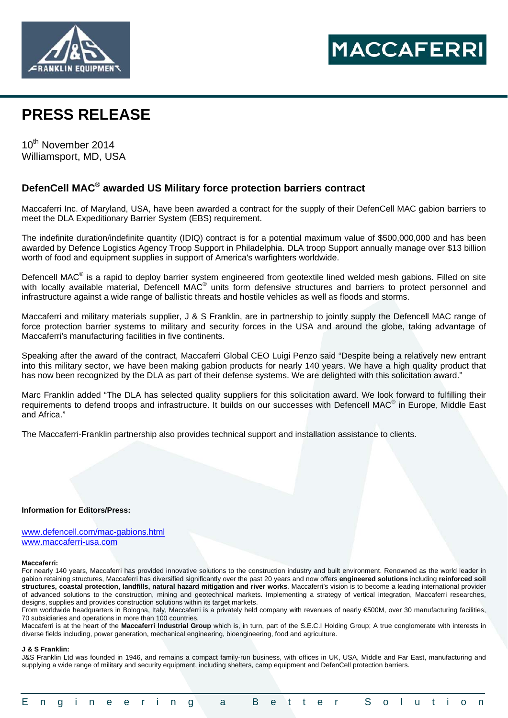



# **PRESS RELEASE**

10th November 2014 Williamsport, MD, USA

# **DefenCell MAC**® **awarded US Military force protection barriers contract**

Maccaferri Inc. of Maryland, USA, have been awarded a contract for the supply of their DefenCell MAC gabion barriers to meet the DLA Expeditionary Barrier System (EBS) requirement.

The indefinite duration/indefinite quantity (IDIQ) contract is for a potential maximum value of \$500,000,000 and has been awarded by Defence Logistics Agency Troop Support in Philadelphia. DLA troop Support annually manage over \$13 billion worth of food and equipment supplies in support of America's warfighters worldwide.

Defencell MAC<sup>®</sup> is a rapid to deploy barrier system engineered from geotextile lined welded mesh gabions. Filled on site with locally available material, Defencell MAC<sup>®</sup> units form defensive structures and barriers to protect personnel and infrastructure against a wide range of ballistic threats and hostile vehicles as well as floods and storms.

Maccaferri and military materials supplier, J & S Franklin, are in partnership to jointly supply the Defencell MAC range of force protection barrier systems to military and security forces in the USA and around the globe, taking advantage of Maccaferri's manufacturing facilities in five continents.

Speaking after the award of the contract, Maccaferri Global CEO Luigi Penzo said "Despite being a relatively new entrant into this military sector, we have been making gabion products for nearly 140 years. We have a high quality product that has now been recognized by the DLA as part of their defense systems. We are delighted with this solicitation award."

Marc Franklin added "The DLA has selected quality suppliers for this solicitation award. We look forward to fulfilling their requirements to defend troops and infrastructure. It builds on our successes with Defencell MAC<sup>®</sup> in Europe, Middle East and Africa."

The Maccaferri-Franklin partnership also provides technical support and installation assistance to clients.

## **Information for Editors/Press:**

www.defencell.com/mac-gabions.html www.maccaferri-usa.com

### **Maccaferri:**

For nearly 140 years, Maccaferri has provided innovative solutions to the construction industry and built environment. Renowned as the world leader in gabion retaining structures, Maccaferri has diversified significantly over the past 20 years and now offers **engineered solutions** including **reinforced soil structures, coastal protection, landfills, natural hazard mitigation and river works**. Maccaferri's vision is to become a leading international provider of advanced solutions to the construction, mining and geotechnical markets. Implementing a strategy of vertical integration, Maccaferri researches, designs, supplies and provides construction solutions within its target markets.

From worldwide headquarters in Bologna, Italy, Maccaferri is a privately held company with revenues of nearly €500M, over 30 manufacturing facilities, 70 subsidiaries and operations in more than 100 countries.

Maccaferri is at the heart of the **Maccaferri Industrial Group** which is, in turn, part of the S.E.C.I Holding Group; A true conglomerate with interests in diverse fields including, power generation, mechanical engineering, bioengineering, food and agriculture.

### **J & S Franklin:**

J&S Franklin Ltd was founded in 1946, and remains a compact family-run business, with offices in UK, USA, Middle and Far East, manufacturing and supplying a wide range of military and security equipment, including shelters, camp equipment and DefenCell protection barriers.

|  |  |  |  |  |  |  |  |  |  |  | Engineering a Better Solution |  |  |  |  |  |  |  |  |  |  |  |  |  |  |
|--|--|--|--|--|--|--|--|--|--|--|-------------------------------|--|--|--|--|--|--|--|--|--|--|--|--|--|--|
|--|--|--|--|--|--|--|--|--|--|--|-------------------------------|--|--|--|--|--|--|--|--|--|--|--|--|--|--|